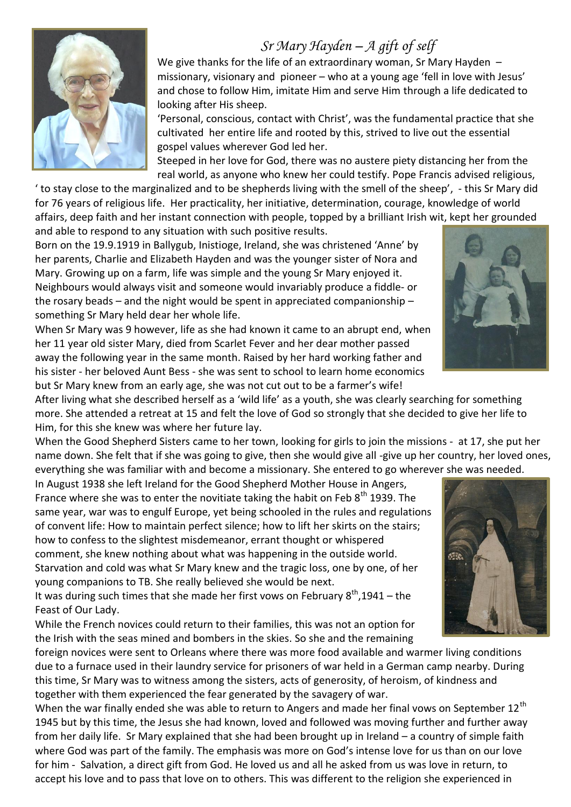## *Sr Mary Hayden – A gift of self*



We give thanks for the life of an extraordinary woman, Sr Mary Hayden missionary, visionary and pioneer – who at a young age 'fell in love with Jesus' and chose to follow Him, imitate Him and serve Him through a life dedicated to looking after His sheep.

'Personal, conscious, contact with Christ', was the fundamental practice that she cultivated her entire life and rooted by this, strived to live out the essential gospel values wherever God led her.

Steeped in her love for God, there was no austere piety distancing her from the real world, as anyone who knew her could testify. Pope Francis advised religious,

' to stay close to the marginalized and to be shepherds living with the smell of the sheep', - this Sr Mary did for 76 years of religious life. Her practicality, her initiative, determination, courage, knowledge of world affairs, deep faith and her instant connection with people, topped by a brilliant Irish wit, kept her grounded and able to respond to any situation with such positive results.

Born on the 19.9.1919 in Ballygub, Inistioge, Ireland, she was christened 'Anne' by her parents, Charlie and Elizabeth Hayden and was the younger sister of Nora and Mary. Growing up on a farm, life was simple and the young Sr Mary enjoyed it. Neighbours would always visit and someone would invariably produce a fiddle- or the rosary beads – and the night would be spent in appreciated companionship – something Sr Mary held dear her whole life.

When Sr Mary was 9 however, life as she had known it came to an abrupt end, when her 11 year old sister Mary, died from Scarlet Fever and her dear mother passed away the following year in the same month. Raised by her hard working father and his sister - her beloved Aunt Bess - she was sent to school to learn home economics but Sr Mary knew from an early age, she was not cut out to be a farmer's wife!



After living what she described herself as a 'wild life' as a youth, she was clearly searching for something more. She attended a retreat at 15 and felt the love of God so strongly that she decided to give her life to Him, for this she knew was where her future lay.

When the Good Shepherd Sisters came to her town, looking for girls to join the missions - at 17, she put her name down. She felt that if she was going to give, then she would give all -give up her country, her loved ones, everything she was familiar with and become a missionary. She entered to go wherever she was needed.

In August 1938 she left Ireland for the Good Shepherd Mother House in Angers, France where she was to enter the novitiate taking the habit on Feb  $8^{th}$  1939. The same year, war was to engulf Europe, yet being schooled in the rules and regulations of convent life: How to maintain perfect silence; how to lift her skirts on the stairs; how to confess to the slightest misdemeanor, errant thought or whispered comment, she knew nothing about what was happening in the outside world. Starvation and cold was what Sr Mary knew and the tragic loss, one by one, of her young companions to TB. She really believed she would be next.

It was during such times that she made her first vows on February  $8^{th}$ ,1941 – the Feast of Our Lady.

While the French novices could return to their families, this was not an option for the Irish with the seas mined and bombers in the skies. So she and the remaining

foreign novices were sent to Orleans where there was more food available and warmer living conditions due to a furnace used in their laundry service for prisoners of war held in a German camp nearby. During this time, Sr Mary was to witness among the sisters, acts of generosity, of heroism, of kindness and together with them experienced the fear generated by the savagery of war.

When the war finally ended she was able to return to Angers and made her final vows on September 12<sup>th</sup> 1945 but by this time, the Jesus she had known, loved and followed was moving further and further away from her daily life. Sr Mary explained that she had been brought up in Ireland – a country of simple faith where God was part of the family. The emphasis was more on God's intense love for us than on our love for him - Salvation, a direct gift from God. He loved us and all he asked from us was love in return, to accept his love and to pass that love on to others. This was different to the religion she experienced in

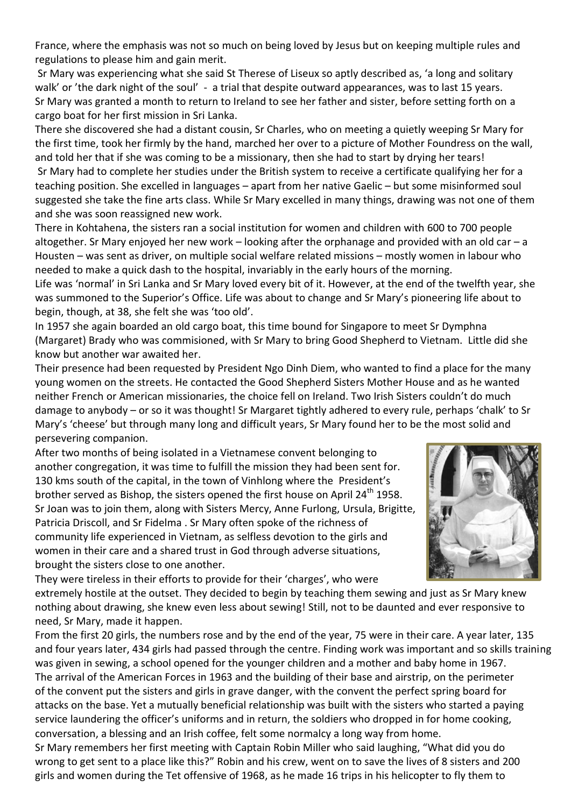France, where the emphasis was not so much on being loved by Jesus but on keeping multiple rules and regulations to please him and gain merit.

Sr Mary was experiencing what she said St Therese of Liseux so aptly described as, 'a long and solitary walk' or 'the dark night of the soul' - a trial that despite outward appearances, was to last 15 years. Sr Mary was granted a month to return to Ireland to see her father and sister, before setting forth on a cargo boat for her first mission in Sri Lanka.

There she discovered she had a distant cousin, Sr Charles, who on meeting a quietly weeping Sr Mary for the first time, took her firmly by the hand, marched her over to a picture of Mother Foundress on the wall, and told her that if she was coming to be a missionary, then she had to start by drying her tears!

Sr Mary had to complete her studies under the British system to receive a certificate qualifying her for a teaching position. She excelled in languages – apart from her native Gaelic – but some misinformed soul suggested she take the fine arts class. While Sr Mary excelled in many things, drawing was not one of them and she was soon reassigned new work.

There in Kohtahena, the sisters ran a social institution for women and children with 600 to 700 people altogether. Sr Mary enjoyed her new work – looking after the orphanage and provided with an old car – a Housten – was sent as driver, on multiple social welfare related missions – mostly women in labour who needed to make a quick dash to the hospital, invariably in the early hours of the morning.

Life was 'normal' in Sri Lanka and Sr Mary loved every bit of it. However, at the end of the twelfth year, she was summoned to the Superior's Office. Life was about to change and Sr Mary's pioneering life about to begin, though, at 38, she felt she was 'too old'.

In 1957 she again boarded an old cargo boat, this time bound for Singapore to meet Sr Dymphna (Margaret) Brady who was commisioned, with Sr Mary to bring Good Shepherd to Vietnam. Little did she know but another war awaited her.

Their presence had been requested by President [Ngo Dinh Diem,](https://en.wikipedia.org/wiki/Ngo_Dinh_Diem) who wanted to find a place for the many young women on the streets. He contacted the Good Shepherd Sisters Mother House and as he wanted neither French or American missionaries, the choice fell on Ireland. Two Irish Sisters couldn't do much damage to anybody – or so it was thought! Sr Margaret tightly adhered to every rule, perhaps 'chalk' to Sr Mary's 'cheese' but through many long and difficult years, Sr Mary found her to be the most solid and persevering companion.

After two months of being isolated in a Vietnamese convent belonging to another congregation, it was time to fulfill the mission they had been sent for. 130 kms south of the capital, in the town of Vinhlong where the President's brother served as Bishop, the sisters opened the first house on April 24<sup>th</sup> 1958. Sr Joan was to join them, along with Sisters Mercy, Anne Furlong, Ursula, Brigitte, Patricia Driscoll, and Sr Fidelma . Sr Mary often spoke of the richness of community life experienced in Vietnam, as selfless devotion to the girls and women in their care and a shared trust in God through adverse situations, brought the sisters close to one another.



They were tireless in their efforts to provide for their 'charges', who were extremely hostile at the outset. They decided to begin by teaching them sewing and just as Sr Mary knew nothing about drawing, she knew even less about sewing! Still, not to be daunted and ever responsive to need, Sr Mary, made it happen.

From the first 20 girls, the numbers rose and by the end of the year, 75 were in their care. A year later, 135 and four years later, 434 girls had passed through the centre. Finding work was important and so skills training was given in sewing, a school opened for the younger children and a mother and baby home in 1967. The arrival of the American Forces in 1963 and the building of their base and airstrip, on the perimeter of the convent put the sisters and girls in grave danger, with the convent the perfect spring board for attacks on the base. Yet a mutually beneficial relationship was built with the sisters who started a paying service laundering the officer's uniforms and in return, the soldiers who dropped in for home cooking, conversation, a blessing and an Irish coffee, felt some normalcy a long way from home.

Sr Mary remembers her first meeting with Captain Robin Miller who said laughing, "What did you do wrong to get sent to a place like this?" Robin and his crew, went on to save the lives of 8 sisters and 200 girls and women during the Tet offensive of 1968, as he made 16 trips in his helicopter to fly them to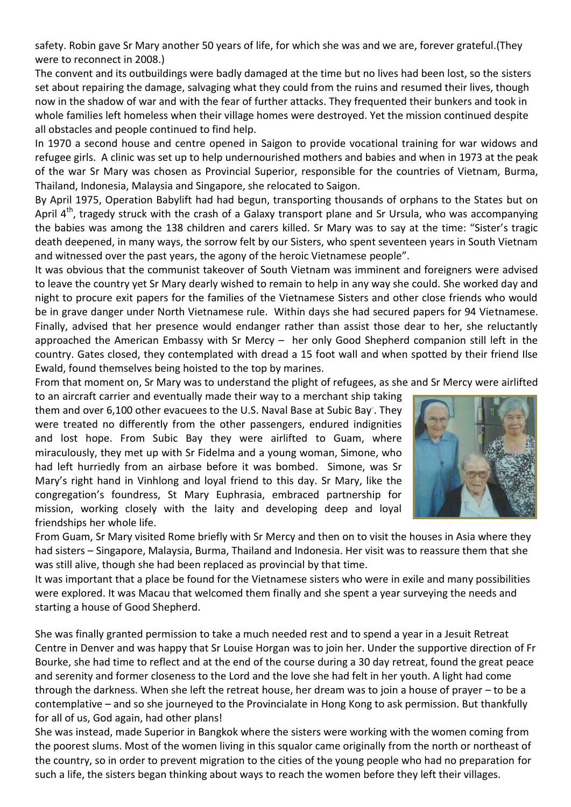safety. Robin gave Sr Mary another 50 years of life, for which she was and we are, forever grateful.(They were to reconnect in 2008.)

The convent and its outbuildings were badly damaged at the time but no lives had been lost, so the sisters set about repairing the damage, salvaging what they could from the ruins and resumed their lives, though now in the shadow of war and with the fear of further attacks. They frequented their bunkers and took in whole families left homeless when their village homes were destroyed. Yet the mission continued despite all obstacles and people continued to find help.

In 1970 a second house and centre opened in Saigon to provide vocational training for war widows and refugee girls. A clinic was set up to help undernourished mothers and babies and when in 1973 at the peak of the war Sr Mary was chosen as Provincial Superior, responsible for the countries of Vietnam, Burma, Thailand, Indonesia, Malaysia and Singapore, she relocated to Saigon.

By April 1975, Operation Babylift had had begun, transporting thousands of orphans to the States but on April 4<sup>th</sup>, tragedy struck with the crash of a Galaxy transport plane and Sr Ursula, who was accompanying the babies was among the 138 children and carers killed. Sr Mary was to say at the time: "Sister's tragic death deepened, in many ways, the sorrow felt by our Sisters, who spent seventeen years in South Vietnam and witnessed over the past years, the agony of the heroic Vietnamese people".

It was obvious that the communist takeover of South Vietnam was imminent and foreigners were advised to leave the country yet Sr Mary dearly wished to remain to help in any way she could. She worked day and night to procure exit papers for the families of the Vietnamese Sisters and other close friends who would be in grave danger under North Vietnamese rule. Within days she had secured papers for 94 Vietnamese. Finally, advised that her presence would endanger rather than assist those dear to her, she reluctantly approached the American Embassy with Sr Mercy – her only Good Shepherd companion still left in the country. Gates closed, they contemplated with dread a 15 foot wall and when spotted by their friend Ilse Ewald, found themselves being hoisted to the top by marines.

From that moment on, Sr Mary was to understand the plight of refugees, as she and Sr Mercy were airlifted

to an aircraft carrier and eventually made their way to a merchant ship taking them and over 6,100 other evacuees to the U.S. Naval Base at Subic Bay. . They were treated no differently from the other passengers, endured indignities and lost hope. From Subic Bay they were airlifted to Guam, where miraculously, they met up with Sr Fidelma and a young woman, Simone, who had left hurriedly from an airbase before it was bombed. Simone, was Sr Mary's right hand in Vinhlong and loyal friend to this day. Sr Mary, like the congregation's foundress, St Mary Euphrasia, embraced partnership for mission, working closely with the laity and developing deep and loyal friendships her whole life.



From Guam, Sr Mary visited Rome briefly with Sr Mercy and then on to visit the houses in Asia where they had sisters – Singapore, Malaysia, Burma, Thailand and Indonesia. Her visit was to reassure them that she was still alive, though she had been replaced as provincial by that time.

It was important that a place be found for the Vietnamese sisters who were in exile and many possibilities were explored. It was Macau that welcomed them finally and she spent a year surveying the needs and starting a house of Good Shepherd.

She was finally granted permission to take a much needed rest and to spend a year in a Jesuit Retreat Centre in Denver and was happy that Sr Louise Horgan was to join her. Under the supportive direction of Fr Bourke, she had time to reflect and at the end of the course during a 30 day retreat, found the great peace and serenity and former closeness to the Lord and the love she had felt in her youth. A light had come through the darkness. When she left the retreat house, her dream was to join a house of prayer – to be a contemplative – and so she journeyed to the Provincialate in Hong Kong to ask permission. But thankfully for all of us, God again, had other plans!

She was instead, made Superior in Bangkok where the sisters were working with the women coming from the poorest slums. Most of the women living in this squalor came originally from the north or northeast of the country, so in order to prevent migration to the cities of the young people who had no preparation for such a life, the sisters began thinking about ways to reach the women before they left their villages.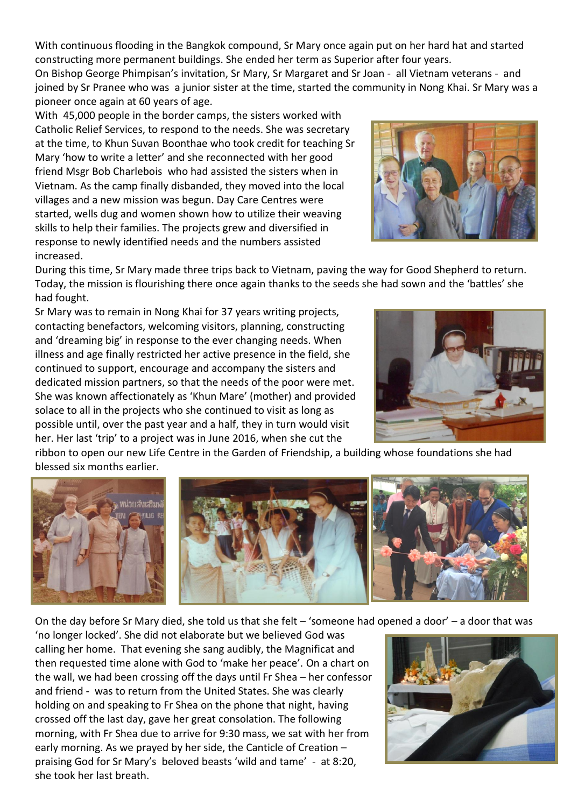With continuous flooding in the Bangkok compound, Sr Mary once again put on her hard hat and started constructing more permanent buildings. She ended her term as Superior after four years. On Bishop George Phimpisan's invitation, Sr Mary, Sr Margaret and Sr Joan - all Vietnam veterans - and joined by Sr Pranee who was a junior sister at the time, started the community in Nong Khai. Sr Mary was a

pioneer once again at 60 years of age. With 45,000 people in the border camps, the sisters worked with Catholic Relief Services, to respond to the needs. She was secretary at the time, to Khun Suvan Boonthae who took credit for teaching Sr Mary 'how to write a letter' and she reconnected with her good friend Msgr Bob Charlebois who had assisted the sisters when in Vietnam. As the camp finally disbanded, they moved into the local villages and a new mission was begun. Day Care Centres were started, wells dug and women shown how to utilize their weaving skills to help their families. The projects grew and diversified in response to newly identified needs and the numbers assisted increased.



During this time, Sr Mary made three trips back to Vietnam, paving the way for Good Shepherd to return. Today, the mission is flourishing there once again thanks to the seeds she had sown and the 'battles' she had fought.

Sr Mary was to remain in Nong Khai for 37 years writing projects, contacting benefactors, welcoming visitors, planning, constructing and 'dreaming big' in response to the ever changing needs. When illness and age finally restricted her active presence in the field, she continued to support, encourage and accompany the sisters and dedicated mission partners, so that the needs of the poor were met. She was known affectionately as 'Khun Mare' (mother) and provided solace to all in the projects who she continued to visit as long as possible until, over the past year and a half, they in turn would visit her. Her last 'trip' to a project was in June 2016, when she cut the



ribbon to open our new Life Centre in the Garden of Friendship, a building whose foundations she had blessed six months earlier.



On the day before Sr Mary died, she told us that she felt – 'someone had opened a door' – a door that was

'no longer locked'. She did not elaborate but we believed God was calling her home. That evening she sang audibly, the Magnificat and then requested time alone with God to 'make her peace'. On a chart on the wall, we had been crossing off the days until Fr Shea – her confessor and friend - was to return from the United States. She was clearly holding on and speaking to Fr Shea on the phone that night, having crossed off the last day, gave her great consolation. The following morning, with Fr Shea due to arrive for 9:30 mass, we sat with her from early morning. As we prayed by her side, the Canticle of Creation – praising God for Sr Mary's beloved beasts 'wild and tame' - at 8:20, she took her last breath.